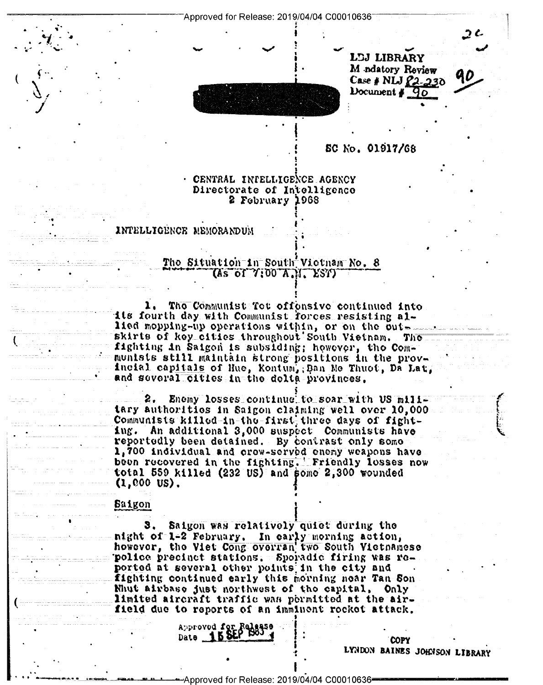



SC No. 01917/68

## · CENTRAL INTELLIGENCE AGENCY Directorate of Intelligence 2 February 1968

INTELLIGENCE NEMORANDUM

# The Situation in South Vietnam No. 8 TAS Of 7:00 A.M. EST)

1. The Communist Tet offensive continued into its fourth day with Communist forces resisting allied mopping-up operations within, or on the outskirts of key cities throughout South Vietnam. The fighting in Saigon is subsiding; however, the Communists still maintain strong positions in the provincial capitals of Hue, Kontum, Dan Me Thuot, Da Lat, and several cities in the delta provinces.

Enemy losses continue to soar with US milltary authorities in Saigon claiming well over 10,000 Communists killed-in-the-first three days of fighting. An additional 3,000 suspect Communists have reportedly been detained. By contrast only some 1,700 individual and crow-served enemy weapons have<br>been recovered in the fighting. Friendly losses now total 559 killed (232 US) and some 2,300 wounded  $(1,000 \text{ US}).$ 

#### **Baigon**

3. Saigon was relatively quiet during the night of 1-2 February. In early morning action,<br>however, the Viet Cong overran two South Vietnamese police precinct stations. Sporadic firing was reported at several other points in the city and fighting continued early this morning near Tan Son Nhut airbase just northwest of the capital, Only limited aircraft traffic was permitted at the airfield due to reports of an imminent rocket attack.

> Approved for Rel Date 150

> > LYNDON BAINES JOHNSON LIBRARY

**COPY**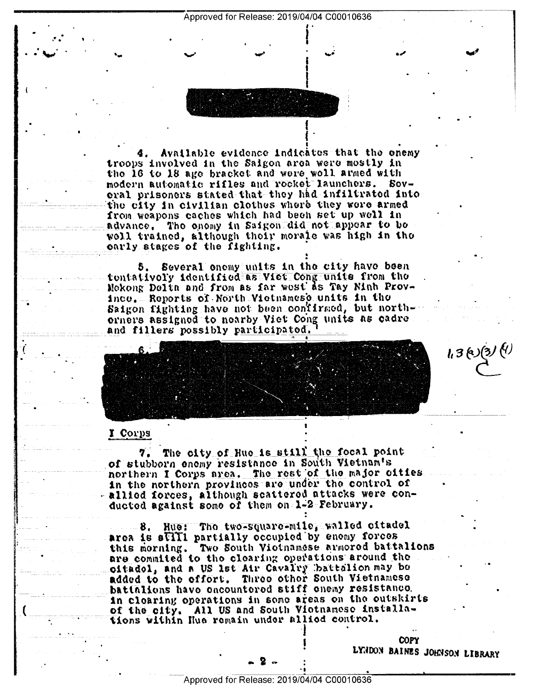Approved for Release: 2019/04/04 C00010636

Available evidence indicates that the enemy troops involved in the Saigon area were mostly in the 16 to 18 age bracket and were woll armed with modern automatic rifles and rocket launchers. Soveral prisoners stated that they had infiltrated into the city in civilian clothes where they were armed from weapons caches which had been set up well in advance. The enemy in Saigon did not appear to be well trained, although their morale was high in tho oarly stages of the fighting.

Several onemy units in the city have been 5. tontativoly identified as Viet Cong units from the Mekong Delta and from as far west as Tay Ninh Province, Reports of North Victuanese units in the Saigon fighting have not been confirmed, but northorners assigned to nearby Viet Cong units as cadre and fillers possibly participated.

# I Corps

The city of Hue is still the focal point 7. of stubborn enemy resistance in South Vietnam's northern I Corps area. The rest of the major cities in the northern provinces are under the control of allied forces, although scattered attacks were conducted against some of them on 1-2 February.

8. Hue: The two-square-mile, walled citadel area is still partially occupied by enomy forces this morning. Two South Viotnamese armored battalions are commited to the clearing operations around the oitadol, and a US lst Air Cavalry battalion may be added to the effort. Three other South Vietnamese battalions have encountered stiff enemy resistance. in clearing operations in some areas on the outskirts of the city. All US and South Viotnamose installations within Hue remain under allied control.

 $1.3(0)(3)$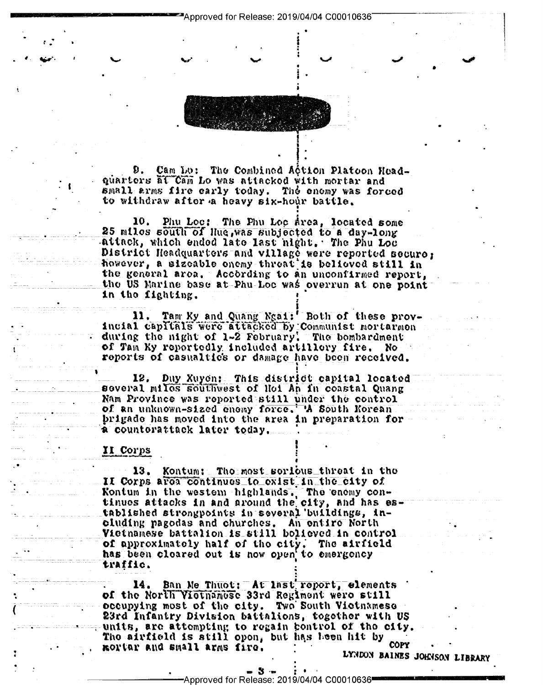Cam Lo: The Combined Action Platoon Head-Ð. quarters at Cam Lo was attacked with mortar and small arms fire early today. The enemy was forced to withdraw after a heavy six-hour battle.

Phu Loc: The Phu Loc Area, located some 10. 25 milos south of Hue, was subjected to a day-long attack, which ended late last night, The Phu Loc District Headquarters and village were reported secure: however, a sizeable onemy threat is believed still in the general area. According to an unconfirmed report, the US Marine base at Phu Loc was overrun at one point in the fighting.

Tam Ky and Quang Ngai: Both of these prov-11. incial capitals were attacked by Communist mortarmon during the night of 1-2 February. The bombardment of Tam Ky reportedly included artillery fire. No reports of casualtics or damage have been received.

12. Duy Xuyon: This district capital located<br>several miles southwest of Hoi An in coastal Quang Nam Province was reported still under the control of an unknown-sized enouy force. A South Korean. prigade has moved into the area in preparation for a counterattack later today.

#### II Corps

Kontum: Tho most sorious threat in the 13. II Corps area continues to exist in the city of Kontum in the western highlands. The enemy con-<br>tinues attacks in and around the city, and has established strongpoints in several buildings, including pagodas and churches. An entire North Victnamese battalion is still bolieved in control of approximately half of the city. The airfield has been cloared out is now open to emergency traffic.

14. Ban Me Thuot: At Inst report, elements of the North Victnamese 33rd Regiment were still occupying most of the city. Two South Victnamese 23rd Infantry Division battalions, together with US  $\blacksquare$  units, are attempting to regain bontrol of the city. The airfield is still open, but has been hit by COPY mortar and small arms fire.

- 3 -Approved for Release: 2019/04/04 C00010636<sup>■</sup>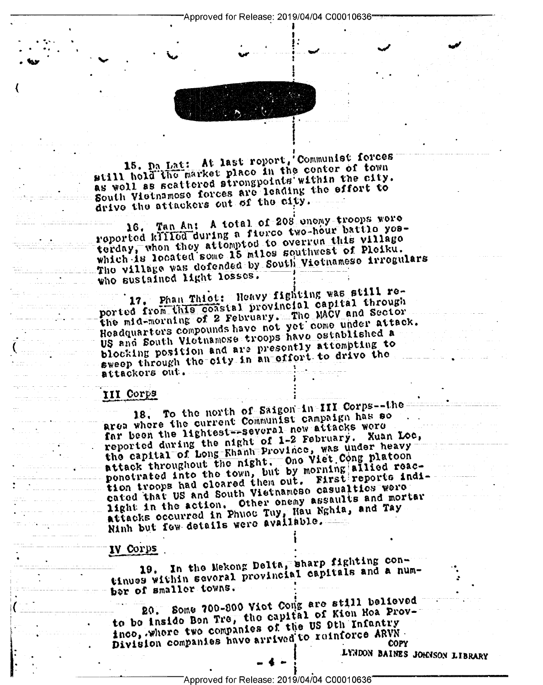Approved for Release: 2019/04/04 C00010636-



15. Da Lat: At last roport, Communist forces still hold the market place in the center of town as woll as scattered strongpoints within the city. South Vietnamose forces are leading the effort to drive the attackers out of the city.

16. Tan An: A total of 208 enemy troops were reported klilled during a fierce two-hour battle yesterday, when they attempted to overrun this village which is located some 15 miles southwest of Pleiku. The village was defended by South Victnamese irregulars who sustained light losses.

17. Phan Thiot: Heavy fighting was still reported from this coastal provincial capital through the mid-morning of 2 February. The MACV and Sector Headquarters compounds have not yet come under attack. US and South Victnamese troops have established a blocking position and are presently attempting to sweep through the city in an offort to drive the 

## III Corps

18. To the north of Saigon-in-III Corps--thearea where the current Communist campaign has so far been the lightest-several new attacks were reported during the night of 1-2 February. Xuan Loc, the capital of Long-Khanh Province, was under heavy attack throughout the night. One viet Cong platoon ponetrated into the town, but by morning allied reaction troops had cleared them out. First reports indicated that US and South Vietnamese casualties were . light in the action. Other onemy assaults and mortar attacks occurred in Phuot Tuy, Hau Nghia, and Tay Ninh but fow details were available.

### IV Corps

19. In the Mekong Delta, sharp fighting continues within several provincial capitals and a number of smaller towns.

20. Some 700-800 Vict Comg are still believed to bo inside Ben Tre, the capital of Kien Hoa Provinco, where two companies of the US 9th Infantry Division companies have arrived to reinforce ARVN. **COPY** 

LYNDON BAINES JOHNSON LIBRARY

Approved for Release: 2019/04/04 C00010636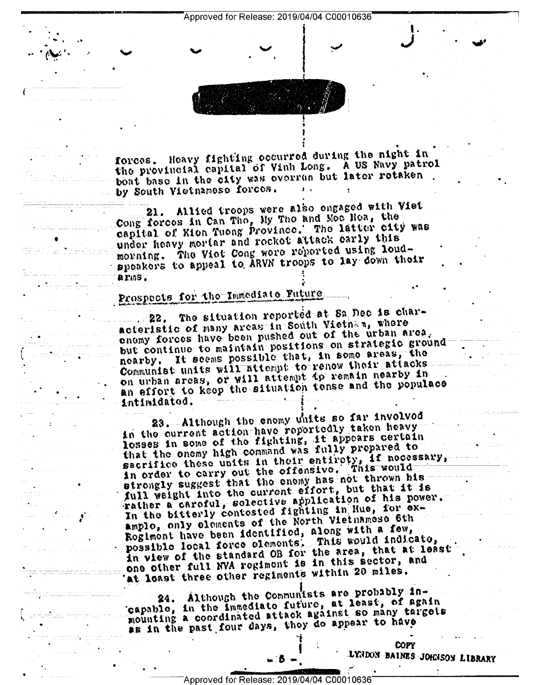forces. Heavy fighting occurred during the night in the provincial capital of Vinh Long. A US Navy patrol boat base in the city was overrun but later retaken. by South Vietnameso forces.

21. Allied troops were also engaged with Viet<br>Cong forces in Can Tho, My Tho and Moe Hoa, the capital of Kion Tuong Province. The latter city was under heavy mortar and rocket attack early this morning. The Viot Cong were reported using loudspeakers to appeal to ARVN troops to lay down their arms.

# Prospects for tho Immediate Future

The situation reported at Sa Dec is char- $\cdot$  22. acteristic of many areas in South Vietnam, where enomy forces have been pushed out of the urban area. but continue to maintain positions on strategic groundnearby. It seems possible that, in some areas, the Communist units will attempt to renow their attacks on urban areas, or will attempt to remain nearby in an effort to keep the situation tense and the populace intimidated.

23. Although the enemy units so far involved in the current action-have reportedly taken heavy losses in some of the fighting, it appears certain that the onemy high command was fully prepared to sacrifico these units in their entirety, if necessary, in order to carry out the offensive. This would strongly suggest that the enemy has not thrown his full weight into the current effort, but that it is rather a caroful, solective application of his power. In the bitterly contested fighting in Hue, for examplo, only elements of the North Vietnamese 6th Rogiment have been identified, along with a few, possible local force elements. This would indicate,<br>in view of the standard OB for the area, that at least one other full NVA regiment is in this sector, and at loast three other regiments within 20 miles.

Although the Communists are probably in-24. Although the Communists are process. 24. Although the Communists at least, of again mounting a coordinated attack against so many targets as in the past four days, thoy do appear to have

> **COPY** LYNDON BAINES JOHNSON LIBRARY